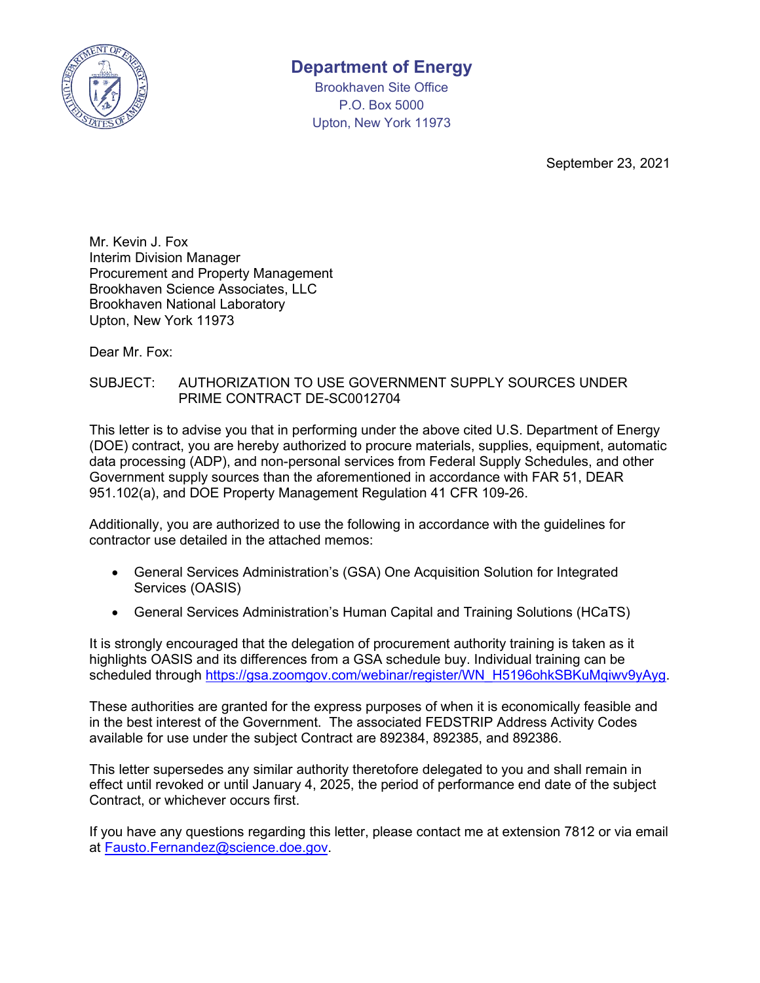

## **Department of Energy**

Brookhaven Site Office P.O. Box 5000 Upton, New York 11973

September 23, 2021

Mr. Kevin J. Fox Interim Division Manager Procurement and Property Management Brookhaven Science Associates, LLC Brookhaven National Laboratory Upton, New York 11973

Dear Mr. Fox:

## SUBJECT: AUTHORIZATION TO USE GOVERNMENT SUPPLY SOURCES UNDER PRIME CONTRACT DE-SC0012704

This letter is to advise you that in performing under the above cited U.S. Department of Energy (DOE) contract, you are hereby authorized to procure materials, supplies, equipment, automatic data processing (ADP), and non-personal services from Federal Supply Schedules, and other Government supply sources than the aforementioned in accordance with FAR 51, DEAR 951.102(a), and DOE Property Management Regulation 41 CFR 109-26.

Additionally, you are authorized to use the following in accordance with the guidelines for contractor use detailed in the attached memos:

- General Services Administration's (GSA) One Acquisition Solution for Integrated Services (OASIS)
- General Services Administration's Human Capital and Training Solutions (HCaTS)

It is strongly encouraged that the delegation of procurement authority training is taken as it highlights OASIS and its differences from a GSA schedule buy. Individual training can be scheduled through [https://gsa.zoomgov.com/webinar/register/WN\\_H5196ohkSBKuMqiwv9yAyg.](https://gsa.zoomgov.com/webinar/register/WN_H5196ohkSBKuMqiwv9yAyg)

These authorities are granted for the express purposes of when it is economically feasible and in the best interest of the Government. The associated FEDSTRIP Address Activity Codes available for use under the subject Contract are 892384, 892385, and 892386.

This letter supersedes any similar authority theretofore delegated to you and shall remain in effect until revoked or until January 4, 2025, the period of performance end date of the subject Contract, or whichever occurs first.

If you have any questions regarding this letter, please contact me at extension 7812 or via email at [Fausto.Fernandez@science.doe.gov.](mailto:Fausto.Fernandez@science.doe.gov)